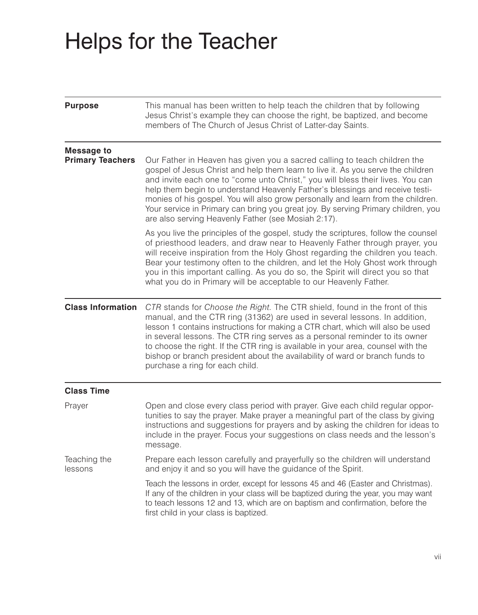# Helps for the Teacher

| <b>Purpose</b>                               | This manual has been written to help teach the children that by following<br>Jesus Christ's example they can choose the right, be baptized, and become<br>members of The Church of Jesus Christ of Latter-day Saints.                                                                                                                                                                                                                                                                                                                                           |
|----------------------------------------------|-----------------------------------------------------------------------------------------------------------------------------------------------------------------------------------------------------------------------------------------------------------------------------------------------------------------------------------------------------------------------------------------------------------------------------------------------------------------------------------------------------------------------------------------------------------------|
| <b>Message to</b><br><b>Primary Teachers</b> | Our Father in Heaven has given you a sacred calling to teach children the<br>gospel of Jesus Christ and help them learn to live it. As you serve the children<br>and invite each one to "come unto Christ," you will bless their lives. You can<br>help them begin to understand Heavenly Father's blessings and receive testi-<br>monies of his gospel. You will also grow personally and learn from the children.<br>Your service in Primary can bring you great joy. By serving Primary children, you<br>are also serving Heavenly Father (see Mosiah 2:17). |
|                                              | As you live the principles of the gospel, study the scriptures, follow the counsel<br>of priesthood leaders, and draw near to Heavenly Father through prayer, you<br>will receive inspiration from the Holy Ghost regarding the children you teach.<br>Bear your testimony often to the children, and let the Holy Ghost work through<br>you in this important calling. As you do so, the Spirit will direct you so that<br>what you do in Primary will be acceptable to our Heavenly Father.                                                                   |
| <b>Class Information</b>                     | CTR stands for Choose the Right. The CTR shield, found in the front of this<br>manual, and the CTR ring (31362) are used in several lessons. In addition,<br>lesson 1 contains instructions for making a CTR chart, which will also be used<br>in several lessons. The CTR ring serves as a personal reminder to its owner<br>to choose the right. If the CTR ring is available in your area, counsel with the<br>bishop or branch president about the availability of ward or branch funds to<br>purchase a ring for each child.                               |
| <b>Class Time</b>                            |                                                                                                                                                                                                                                                                                                                                                                                                                                                                                                                                                                 |
| Prayer                                       | Open and close every class period with prayer. Give each child regular oppor-<br>tunities to say the prayer. Make prayer a meaningful part of the class by giving<br>instructions and suggestions for prayers and by asking the children for ideas to<br>include in the prayer. Focus your suggestions on class needs and the lesson's<br>message.                                                                                                                                                                                                              |
| Teaching the<br>lessons                      | Prepare each lesson carefully and prayerfully so the children will understand<br>and enjoy it and so you will have the guidance of the Spirit.                                                                                                                                                                                                                                                                                                                                                                                                                  |
|                                              | Teach the lessons in order, except for lessons 45 and 46 (Easter and Christmas).<br>If any of the children in your class will be baptized during the year, you may want<br>to teach lessons 12 and 13, which are on baptism and confirmation, before the<br>first child in your class is baptized.                                                                                                                                                                                                                                                              |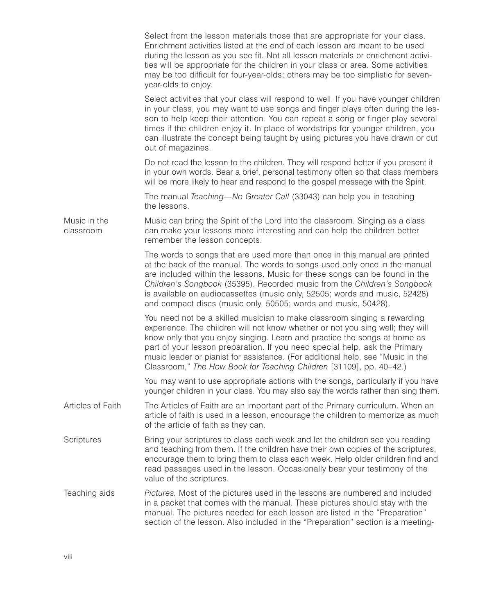|                           | Select from the lesson materials those that are appropriate for your class.<br>Enrichment activities listed at the end of each lesson are meant to be used<br>during the lesson as you see fit. Not all lesson materials or enrichment activi-<br>ties will be appropriate for the children in your class or area. Some activities<br>may be too difficult for four-year-olds; others may be too simplistic for seven-<br>year-olds to enjoy.                                   |
|---------------------------|---------------------------------------------------------------------------------------------------------------------------------------------------------------------------------------------------------------------------------------------------------------------------------------------------------------------------------------------------------------------------------------------------------------------------------------------------------------------------------|
|                           | Select activities that your class will respond to well. If you have younger children<br>in your class, you may want to use songs and finger plays often during the les-<br>son to help keep their attention. You can repeat a song or finger play several<br>times if the children enjoy it. In place of wordstrips for younger children, you<br>can illustrate the concept being taught by using pictures you have drawn or cut<br>out of magazines.                           |
|                           | Do not read the lesson to the children. They will respond better if you present it<br>in your own words. Bear a brief, personal testimony often so that class members<br>will be more likely to hear and respond to the gospel message with the Spirit.                                                                                                                                                                                                                         |
|                           | The manual Teaching-No Greater Call (33043) can help you in teaching<br>the lessons.                                                                                                                                                                                                                                                                                                                                                                                            |
| Music in the<br>classroom | Music can bring the Spirit of the Lord into the classroom. Singing as a class<br>can make your lessons more interesting and can help the children better<br>remember the lesson concepts.                                                                                                                                                                                                                                                                                       |
|                           | The words to songs that are used more than once in this manual are printed<br>at the back of the manual. The words to songs used only once in the manual<br>are included within the lessons. Music for these songs can be found in the<br>Children's Songbook (35395). Recorded music from the Children's Songbook<br>is available on audiocassettes (music only, 52505; words and music, 52428)<br>and compact discs (music only, 50505; words and music, 50428).              |
|                           | You need not be a skilled musician to make classroom singing a rewarding<br>experience. The children will not know whether or not you sing well; they will<br>know only that you enjoy singing. Learn and practice the songs at home as<br>part of your lesson preparation. If you need special help, ask the Primary<br>music leader or pianist for assistance. (For additional help, see "Music in the<br>Classroom," The How Book for Teaching Children [31109], pp. 40-42.) |
|                           | You may want to use appropriate actions with the songs, particularly if you have<br>younger children in your class. You may also say the words rather than sing them.                                                                                                                                                                                                                                                                                                           |
| Articles of Faith         | The Articles of Faith are an important part of the Primary curriculum. When an<br>article of faith is used in a lesson, encourage the children to memorize as much<br>of the article of faith as they can.                                                                                                                                                                                                                                                                      |
| Scriptures                | Bring your scriptures to class each week and let the children see you reading<br>and teaching from them. If the children have their own copies of the scriptures,<br>encourage them to bring them to class each week. Help older children find and<br>read passages used in the lesson. Occasionally bear your testimony of the<br>value of the scriptures.                                                                                                                     |
| Teaching aids             | <i>Pictures.</i> Most of the pictures used in the lessons are numbered and included<br>in a packet that comes with the manual. These pictures should stay with the<br>manual. The pictures needed for each lesson are listed in the "Preparation"<br>section of the lesson. Also included in the "Preparation" section is a meeting-                                                                                                                                            |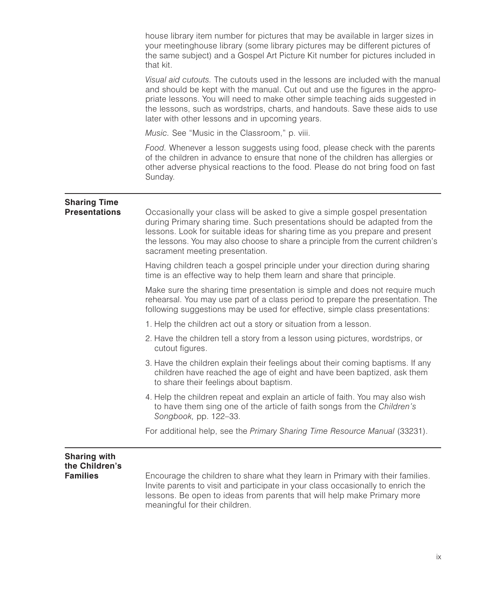house library item number for pictures that may be available in larger sizes in your meetinghouse library (some library pictures may be different pictures of the same subject) and a Gospel Art Picture Kit number for pictures included in that kit.

*Visual aid cutouts.* The cutouts used in the lessons are included with the manual and should be kept with the manual. Cut out and use the figures in the appropriate lessons. You will need to make other simple teaching aids suggested in the lessons, such as wordstrips, charts, and handouts. Save these aids to use later with other lessons and in upcoming years.

*Music.* See "Music in the Classroom," p. viii.

*Food.* Whenever a lesson suggests using food, please check with the parents of the children in advance to ensure that none of the children has allergies or other adverse physical reactions to the food. Please do not bring food on fast Sunday.

## **Sharing Time**

**Presentations** Occasionally your class will be asked to give a simple gospel presentation during Primary sharing time. Such presentations should be adapted from the lessons. Look for suitable ideas for sharing time as you prepare and present the lessons. You may also choose to share a principle from the current children's sacrament meeting presentation.

Having children teach a gospel principle under your direction during sharing time is an effective way to help them learn and share that principle.

Make sure the sharing time presentation is simple and does not require much rehearsal. You may use part of a class period to prepare the presentation. The following suggestions may be used for effective, simple class presentations:

- 1. Help the children act out a story or situation from a lesson.
- 2. Have the children tell a story from a lesson using pictures, wordstrips, or cutout figures.
- 3. Have the children explain their feelings about their coming baptisms. If any children have reached the age of eight and have been baptized, ask them to share their feelings about baptism.
- 4. Help the children repeat and explain an article of faith. You may also wish to have them sing one of the article of faith songs from the *Children's Songbook,* pp. 122–33.

For additional help, see the *Primary Sharing Time Resource Manual* (33231).

#### **Sharing with the Children's**

**Families** Encourage the children to share what they learn in Primary with their families. Invite parents to visit and participate in your class occasionally to enrich the lessons. Be open to ideas from parents that will help make Primary more meaningful for their children.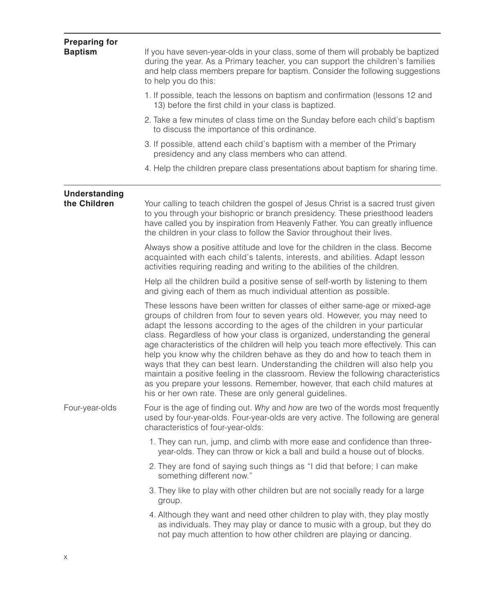| <b>Preparing for</b><br><b>Baptism</b> | If you have seven-year-olds in your class, some of them will probably be baptized<br>during the year. As a Primary teacher, you can support the children's families<br>and help class members prepare for baptism. Consider the following suggestions<br>to help you do this:                                                                                                                                                                                                                                                                                                                                                                                                                                                                                                                           |
|----------------------------------------|---------------------------------------------------------------------------------------------------------------------------------------------------------------------------------------------------------------------------------------------------------------------------------------------------------------------------------------------------------------------------------------------------------------------------------------------------------------------------------------------------------------------------------------------------------------------------------------------------------------------------------------------------------------------------------------------------------------------------------------------------------------------------------------------------------|
|                                        | 1. If possible, teach the lessons on baptism and confirmation (lessons 12 and<br>13) before the first child in your class is baptized.                                                                                                                                                                                                                                                                                                                                                                                                                                                                                                                                                                                                                                                                  |
|                                        | 2. Take a few minutes of class time on the Sunday before each child's baptism<br>to discuss the importance of this ordinance.                                                                                                                                                                                                                                                                                                                                                                                                                                                                                                                                                                                                                                                                           |
|                                        | 3. If possible, attend each child's baptism with a member of the Primary<br>presidency and any class members who can attend.                                                                                                                                                                                                                                                                                                                                                                                                                                                                                                                                                                                                                                                                            |
|                                        | 4. Help the children prepare class presentations about baptism for sharing time.                                                                                                                                                                                                                                                                                                                                                                                                                                                                                                                                                                                                                                                                                                                        |
| <b>Understanding</b><br>the Children   | Your calling to teach children the gospel of Jesus Christ is a sacred trust given<br>to you through your bishopric or branch presidency. These priesthood leaders<br>have called you by inspiration from Heavenly Father. You can greatly influence<br>the children in your class to follow the Savior throughout their lives.                                                                                                                                                                                                                                                                                                                                                                                                                                                                          |
|                                        | Always show a positive attitude and love for the children in the class. Become<br>acquainted with each child's talents, interests, and abilities. Adapt lesson<br>activities requiring reading and writing to the abilities of the children.                                                                                                                                                                                                                                                                                                                                                                                                                                                                                                                                                            |
|                                        | Help all the children build a positive sense of self-worth by listening to them<br>and giving each of them as much individual attention as possible.                                                                                                                                                                                                                                                                                                                                                                                                                                                                                                                                                                                                                                                    |
|                                        | These lessons have been written for classes of either same-age or mixed-age<br>groups of children from four to seven years old. However, you may need to<br>adapt the lessons according to the ages of the children in your particular<br>class. Regardless of how your class is organized, understanding the general<br>age characteristics of the children will help you teach more effectively. This can<br>help you know why the children behave as they do and how to teach them in<br>ways that they can best learn. Understanding the children will also help you<br>maintain a positive feeling in the classroom. Review the following characteristics<br>as you prepare your lessons. Remember, however, that each child matures at<br>his or her own rate. These are only general guidelines. |
| Four-year-olds                         | Four is the age of finding out. Why and how are two of the words most frequently<br>used by four-year-olds. Four-year-olds are very active. The following are general<br>characteristics of four-year-olds:                                                                                                                                                                                                                                                                                                                                                                                                                                                                                                                                                                                             |
|                                        | 1. They can run, jump, and climb with more ease and confidence than three-<br>year-olds. They can throw or kick a ball and build a house out of blocks.                                                                                                                                                                                                                                                                                                                                                                                                                                                                                                                                                                                                                                                 |
|                                        | 2. They are fond of saying such things as "I did that before; I can make<br>something different now."                                                                                                                                                                                                                                                                                                                                                                                                                                                                                                                                                                                                                                                                                                   |
|                                        | 3. They like to play with other children but are not socially ready for a large<br>group.                                                                                                                                                                                                                                                                                                                                                                                                                                                                                                                                                                                                                                                                                                               |
|                                        | 4. Although they want and need other children to play with, they play mostly<br>as individuals. They may play or dance to music with a group, but they do<br>not pay much attention to how other children are playing or dancing.                                                                                                                                                                                                                                                                                                                                                                                                                                                                                                                                                                       |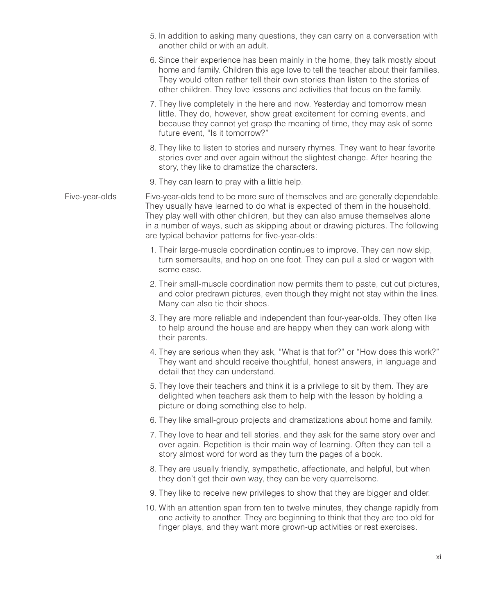- 5. In addition to asking many questions, they can carry on a conversation with another child or with an adult.
- 6. Since their experience has been mainly in the home, they talk mostly about home and family. Children this age love to tell the teacher about their families. They would often rather tell their own stories than listen to the stories of other children. They love lessons and activities that focus on the family.
- 7. They live completely in the here and now. Yesterday and tomorrow mean little. They do, however, show great excitement for coming events, and because they cannot yet grasp the meaning of time, they may ask of some future event, "Is it tomorrow?"
- 8. They like to listen to stories and nursery rhymes. They want to hear favorite stories over and over again without the slightest change. After hearing the story, they like to dramatize the characters.
- 9. They can learn to pray with a little help.
- Five-year-olds Five-year-olds tend to be more sure of themselves and are generally dependable. They usually have learned to do what is expected of them in the household. They play well with other children, but they can also amuse themselves alone in a number of ways, such as skipping about or drawing pictures. The following are typical behavior patterns for five-year-olds:
	- 1. Their large-muscle coordination continues to improve. They can now skip, turn somersaults, and hop on one foot. They can pull a sled or wagon with some ease.
	- 2. Their small-muscle coordination now permits them to paste, cut out pictures, and color predrawn pictures, even though they might not stay within the lines. Many can also tie their shoes.
	- 3. They are more reliable and independent than four-year-olds. They often like to help around the house and are happy when they can work along with their parents.
	- 4. They are serious when they ask, "What is that for?" or "How does this work?" They want and should receive thoughtful, honest answers, in language and detail that they can understand.
	- 5. They love their teachers and think it is a privilege to sit by them. They are delighted when teachers ask them to help with the lesson by holding a picture or doing something else to help.
	- 6. They like small-group projects and dramatizations about home and family.
	- 7. They love to hear and tell stories, and they ask for the same story over and over again. Repetition is their main way of learning. Often they can tell a story almost word for word as they turn the pages of a book.
	- 8. They are usually friendly, sympathetic, affectionate, and helpful, but when they don't get their own way, they can be very quarrelsome.
	- 9. They like to receive new privileges to show that they are bigger and older.
	- 10. With an attention span from ten to twelve minutes, they change rapidly from one activity to another. They are beginning to think that they are too old for finger plays, and they want more grown-up activities or rest exercises.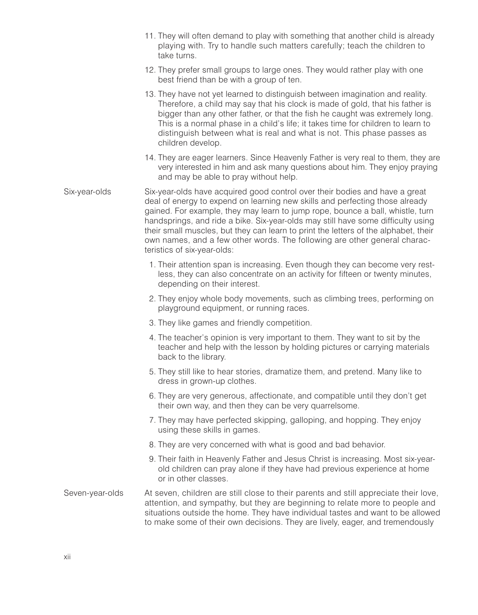- 11. They will often demand to play with something that another child is already playing with. Try to handle such matters carefully; teach the children to take turns.
- 12. They prefer small groups to large ones. They would rather play with one best friend than be with a group of ten.
- 13. They have not yet learned to distinguish between imagination and reality. Therefore, a child may say that his clock is made of gold, that his father is bigger than any other father, or that the fish he caught was extremely long. This is a normal phase in a child's life; it takes time for children to learn to distinguish between what is real and what is not. This phase passes as children develop.
- 14. They are eager learners. Since Heavenly Father is very real to them, they are very interested in him and ask many questions about him. They enjoy praying and may be able to pray without help.

Six-year-olds Six-year-olds have acquired good control over their bodies and have a great deal of energy to expend on learning new skills and perfecting those already gained. For example, they may learn to jump rope, bounce a ball, whistle, turn handsprings, and ride a bike. Six-year-olds may still have some difficulty using their small muscles, but they can learn to print the letters of the alphabet, their own names, and a few other words. The following are other general characteristics of six-year-olds:

- 1. Their attention span is increasing. Even though they can become very restless, they can also concentrate on an activity for fifteen or twenty minutes, depending on their interest.
- 2. They enjoy whole body movements, such as climbing trees, performing on playground equipment, or running races.
- 3. They like games and friendly competition.
- 4. The teacher's opinion is very important to them. They want to sit by the teacher and help with the lesson by holding pictures or carrying materials back to the library.
- 5. They still like to hear stories, dramatize them, and pretend. Many like to dress in grown-up clothes.
- 6. They are very generous, affectionate, and compatible until they don't get their own way, and then they can be very quarrelsome.
- 7. They may have perfected skipping, galloping, and hopping. They enjoy using these skills in games.
- 8. They are very concerned with what is good and bad behavior.
- 9. Their faith in Heavenly Father and Jesus Christ is increasing. Most six-yearold children can pray alone if they have had previous experience at home or in other classes.
- Seven-year-olds At seven, children are still close to their parents and still appreciate their love, attention, and sympathy, but they are beginning to relate more to people and situations outside the home. They have individual tastes and want to be allowed to make some of their own decisions. They are lively, eager, and tremendously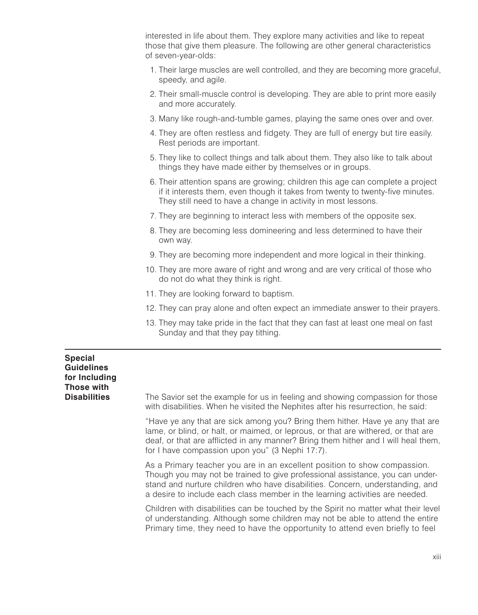interested in life about them. They explore many activities and like to repeat those that give them pleasure. The following are other general characteristics of seven-year-olds:

- 1. Their large muscles are well controlled, and they are becoming more graceful, speedy, and agile.
- 2. Their small-muscle control is developing. They are able to print more easily and more accurately.
- 3. Many like rough-and-tumble games, playing the same ones over and over.
- 4. They are often restless and fidgety. They are full of energy but tire easily. Rest periods are important.
- 5. They like to collect things and talk about them. They also like to talk about things they have made either by themselves or in groups.
- 6. Their attention spans are growing; children this age can complete a project if it interests them, even though it takes from twenty to twenty-five minutes. They still need to have a change in activity in most lessons.
- 7. They are beginning to interact less with members of the opposite sex.
- 8. They are becoming less domineering and less determined to have their own way.
- 9. They are becoming more independent and more logical in their thinking.
- 10. They are more aware of right and wrong and are very critical of those who do not do what they think is right.
- 11. They are looking forward to baptism.
- 12. They can pray alone and often expect an immediate answer to their prayers.
- 13. They may take pride in the fact that they can fast at least one meal on fast Sunday and that they pay tithing.

#### **Special Guidelines for Including Those with**

**Disabilities** The Savior set the example for us in feeling and showing compassion for those with disabilities. When he visited the Nephites after his resurrection, he said:

> "Have ye any that are sick among you? Bring them hither. Have ye any that are lame, or blind, or halt, or maimed, or leprous, or that are withered, or that are deaf, or that are afflicted in any manner? Bring them hither and I will heal them, for I have compassion upon you" (3 Nephi 17:7).

> As a Primary teacher you are in an excellent position to show compassion. Though you may not be trained to give professional assistance, you can understand and nurture children who have disabilities. Concern, understanding, and a desire to include each class member in the learning activities are needed.

> Children with disabilities can be touched by the Spirit no matter what their level of understanding. Although some children may not be able to attend the entire Primary time, they need to have the opportunity to attend even briefly to feel